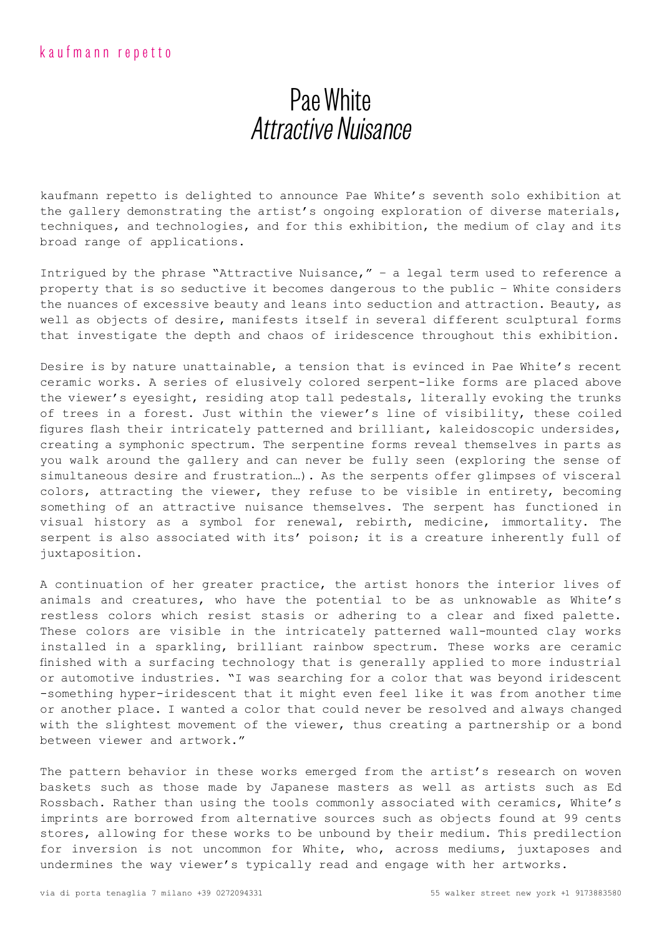## Pae White Attractive Nuisance

kaufmann repetto is delighted to announce Pae White's seventh solo exhibition at the gallery demonstrating the artist's ongoing exploration of diverse materials, techniques, and technologies, and for this exhibition, the medium of clay and its broad range of applications.

Intrigued by the phrase "Attractive Nuisance," – a legal term used to reference a property that is so seductive it becomes dangerous to the public – White considers the nuances of excessive beauty and leans into seduction and attraction. Beauty, as well as objects of desire, manifests itself in several different sculptural forms that investigate the depth and chaos of iridescence throughout this exhibition.

Desire is by nature unattainable, a tension that is evinced in Pae White's recent ceramic works. A series of elusively colored serpent-like forms are placed above the viewer's eyesight, residing atop tall pedestals, literally evoking the trunks of trees in a forest. Just within the viewer's line of visibility, these coiled figures flash their intricately patterned and brilliant, kaleidoscopic undersides, creating a symphonic spectrum. The serpentine forms reveal themselves in parts as you walk around the gallery and can never be fully seen (exploring the sense of simultaneous desire and frustration…). As the serpents offer glimpses of visceral colors, attracting the viewer, they refuse to be visible in entirety, becoming something of an attractive nuisance themselves. The serpent has functioned in visual history as a symbol for renewal, rebirth, medicine, immortality. The serpent is also associated with its' poison; it is a creature inherently full of juxtaposition.

A continuation of her greater practice, the artist honors the interior lives of animals and creatures, who have the potential to be as unknowable as White's restless colors which resist stasis or adhering to a clear and fixed palette. These colors are visible in the intricately patterned wall-mounted clay works installed in a sparkling, brilliant rainbow spectrum. These works are ceramic finished with a surfacing technology that is generally applied to more industrial or automotive industries. "I was searching for a color that was beyond iridescent -something hyper-iridescent that it might even feel like it was from another time or another place. I wanted a color that could never be resolved and always changed with the slightest movement of the viewer, thus creating a partnership or a bond between viewer and artwork."

The pattern behavior in these works emerged from the artist's research on woven baskets such as those made by Japanese masters as well as artists such as Ed Rossbach. Rather than using the tools commonly associated with ceramics, White's imprints are borrowed from alternative sources such as objects found at 99 cents stores, allowing for these works to be unbound by their medium. This predilection for inversion is not uncommon for White, who, across mediums, juxtaposes and undermines the way viewer's typically read and engage with her artworks.